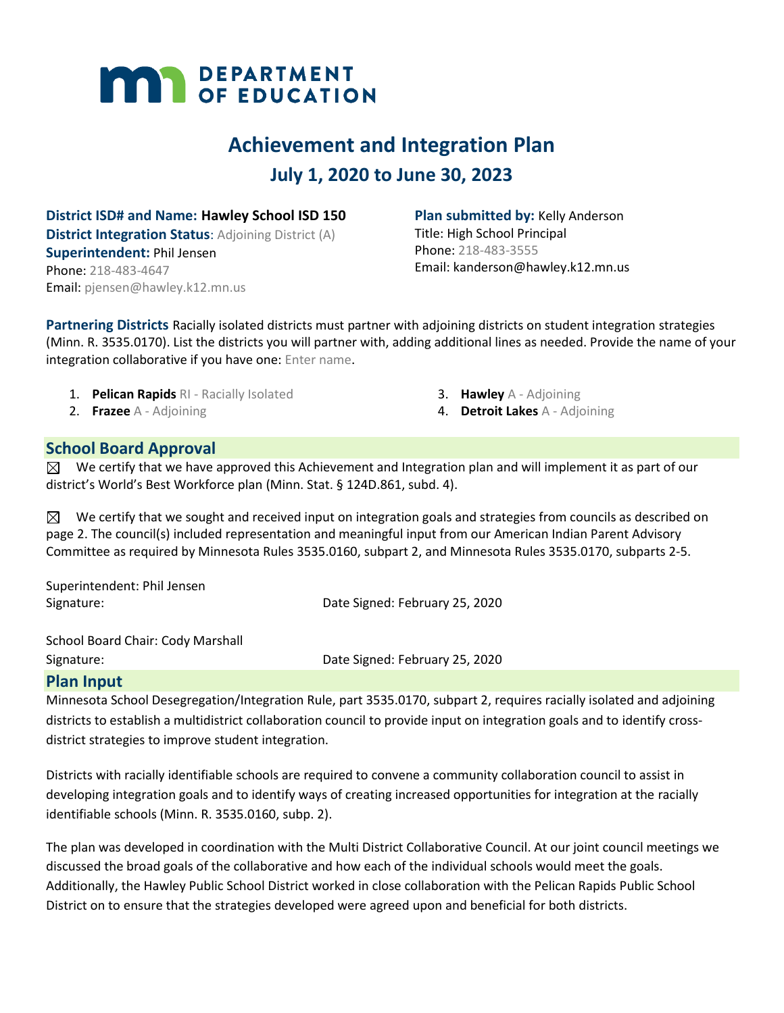# **MAY DEPARTMENT**

## **Achievement and Integration Plan July 1, 2020 to June 30, 2023**

**District ISD# and Name: Hawley School ISD 150 District Integration Status: Adjoining District (A) Superintendent:** Phil Jensen Phone: 218-483-4647 Email: pjensen@hawley.k12.mn.us

**Plan submitted by:** Kelly Anderson Title: High School Principal Phone: 218-483-3555 Email: kanderson@hawley.k12.mn.us

**Partnering Districts** Racially isolated districts must partner with adjoining districts on student integration strategies (Minn. R. 3535.0170). List the districts you will partner with, adding additional lines as needed. Provide the name of your integration collaborative if you have one: Enter name.

- 1. **Pelican Rapids** RI Racially Isolated
- 2. **Frazee** A Adjoining
- 3. **Hawley** A Adjoining
- 4. **Detroit Lakes** A Adjoining

#### **School Board Approval**

 $\boxtimes$  We certify that we have approved this Achievement and Integration plan and will implement it as part of our district's World's Best Workforce plan (Minn. Stat. § 124D.861, subd. 4).

 $\boxtimes$  We certify that we sought and received input on integration goals and strategies from councils as described on page 2. The council(s) included representation and meaningful input from our American Indian Parent Advisory Committee as required by Minnesota Rules 3535.0160, subpart 2, and Minnesota Rules 3535.0170, subparts 2-5.

| Superintendent: Phil Jensen |                                |
|-----------------------------|--------------------------------|
| Signature:                  | Date Signed: February 25, 2020 |

School Board Chair: Cody Marshall Signature: Date Signed: February 25, 2020

#### **Plan Input**

Minnesota School Desegregation/Integration Rule, part 3535.0170, subpart 2, requires racially isolated and adjoining districts to establish a multidistrict collaboration council to provide input on integration goals and to identify crossdistrict strategies to improve student integration.

Districts with racially identifiable schools are required to convene a community collaboration council to assist in developing integration goals and to identify ways of creating increased opportunities for integration at the racially identifiable schools (Minn. R. 3535.0160, subp. 2).

The plan was developed in coordination with the Multi District Collaborative Council. At our joint council meetings we discussed the broad goals of the collaborative and how each of the individual schools would meet the goals. Additionally, the Hawley Public School District worked in close collaboration with the Pelican Rapids Public School District on to ensure that the strategies developed were agreed upon and beneficial for both districts.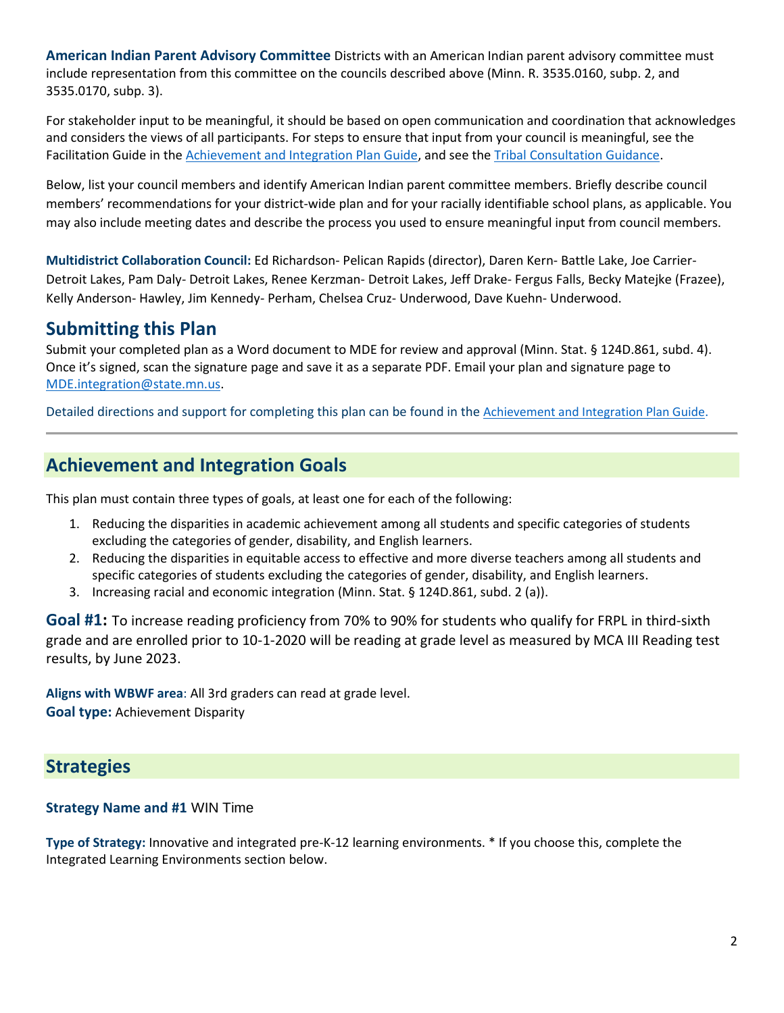**American Indian Parent Advisory Committee** Districts with an American Indian parent advisory committee must include representation from this committee on the councils described above (Minn. R. 3535.0160, subp. 2, and 3535.0170, subp. 3).

For stakeholder input to be meaningful, it should be based on open communication and coordination that acknowledges and considers the views of all participants. For steps to ensure that input from your council is meaningful, see the Facilitation Guide in the [Achievement and Integration Plan Guide,](https://education.mn.gov/mdeprod/idcplg?IdcService=GET_FILE&dDocName=MDE059117&RevisionSelectionMethod=latestReleased&Rendition=primary) and see the [Tribal Consultation Guidance.](http://education.state.mn.us/mdeprod/idcplg?IdcService=GET_FILE&dDocName=mde072001&RevisionSelectionMethod=latestReleased&Rendition=primary)

Below, list your council members and identify American Indian parent committee members. Briefly describe council members' recommendations for your district-wide plan and for your racially identifiable school plans, as applicable. You may also include meeting dates and describe the process you used to ensure meaningful input from council members.

**Multidistrict Collaboration Council:** Ed Richardson- Pelican Rapids (director), Daren Kern- Battle Lake, Joe Carrier-Detroit Lakes, Pam Daly- Detroit Lakes, Renee Kerzman- Detroit Lakes, Jeff Drake- Fergus Falls, Becky Matejke (Frazee), Kelly Anderson- Hawley, Jim Kennedy- Perham, Chelsea Cruz- Underwood, Dave Kuehn- Underwood.

## **Submitting this Plan**

Submit your completed plan as a Word document to MDE for review and approval (Minn. Stat. § 124D.861, subd. 4). Once it's signed, scan the signature page and save it as a separate PDF. Email your plan and signature page to [MDE.integration@state.mn.us.](mailto:MDE.integration@state.mn.us)

Detailed directions and support for completing this plan can be found in the [Achievement and Integration Plan Guide](https://education.mn.gov/mdeprod/idcplg?IdcService=GET_FILE&dDocName=MDE059117&RevisionSelectionMethod=latestReleased&Rendition=primary).

## **Achievement and Integration Goals**

This plan must contain three types of goals, at least one for each of the following:

- 1. Reducing the disparities in academic achievement among all students and specific categories of students excluding the categories of gender, disability, and English learners.
- 2. Reducing the disparities in equitable access to effective and more diverse teachers among all students and specific categories of students excluding the categories of gender, disability, and English learners.
- 3. Increasing racial and economic integration (Minn. Stat. § 124D.861, subd. 2 (a)).

**Goal #1:** To increase reading proficiency from 70% to 90% for students who qualify for FRPL in third-sixth grade and are enrolled prior to 10-1-2020 will be reading at grade level as measured by MCA III Reading test results, by June 2023.

**Aligns with WBWF area**: All 3rd graders can read at grade level. **Goal type:** Achievement Disparity

## **Strategies**

#### **Strategy Name and #1** WIN Time

**Type of Strategy:** Innovative and integrated pre-K-12 learning environments. \* If you choose this, complete the Integrated Learning Environments section below.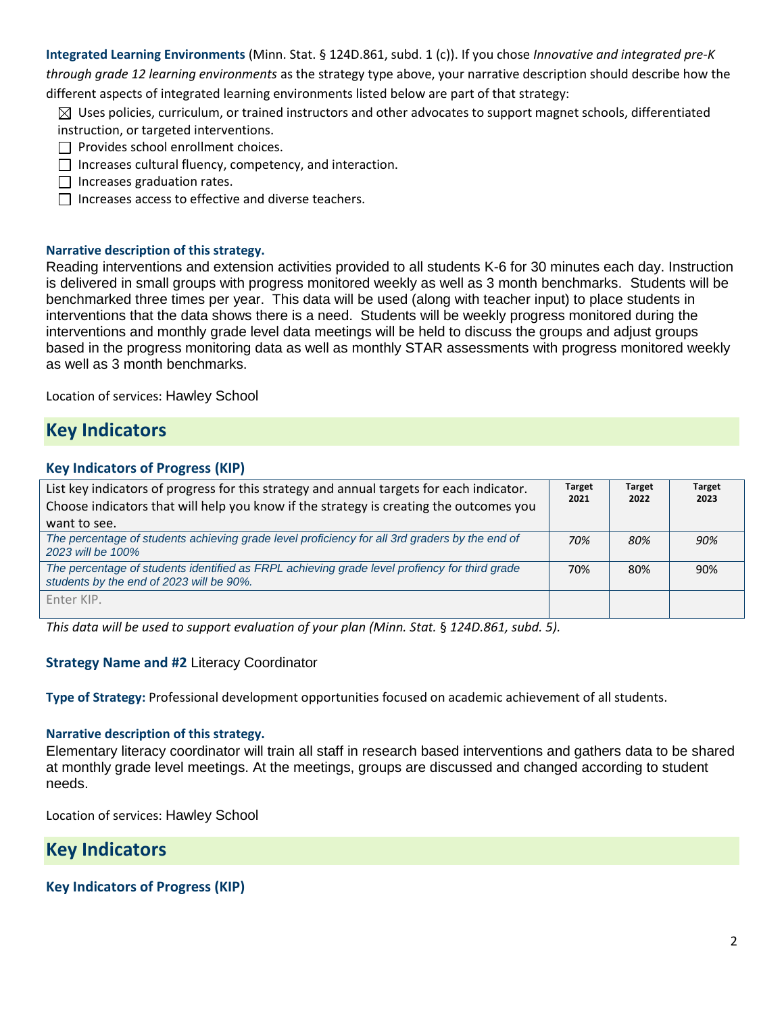**Integrated Learning Environments** (Minn. Stat. § 124D.861, subd. 1 (c)). If you chose *Innovative and integrated pre-K through grade 12 learning environments* as the strategy type above, your narrative description should describe how the different aspects of integrated learning environments listed below are part of that strategy:

 $\boxtimes$  Uses policies, curriculum, or trained instructors and other advocates to support magnet schools, differentiated instruction, or targeted interventions.

- $\Box$  Provides school enrollment choices.
- $\Box$  Increases cultural fluency, competency, and interaction.
- $\Box$  Increases graduation rates.
- $\Box$  Increases access to effective and diverse teachers.

#### **Narrative description of this strategy.**

Reading interventions and extension activities provided to all students K-6 for 30 minutes each day. Instruction is delivered in small groups with progress monitored weekly as well as 3 month benchmarks. Students will be benchmarked three times per year. This data will be used (along with teacher input) to place students in interventions that the data shows there is a need. Students will be weekly progress monitored during the interventions and monthly grade level data meetings will be held to discuss the groups and adjust groups based in the progress monitoring data as well as monthly STAR assessments with progress monitored weekly as well as 3 month benchmarks.

Location of services: Hawley School

## **Key Indicators**

#### **Key Indicators of Progress (KIP)**

| List key indicators of progress for this strategy and annual targets for each indicator.<br>Choose indicators that will help you know if the strategy is creating the outcomes you | <b>Target</b><br>2021 | <b>Target</b><br>2022 | <b>Target</b><br>2023 |
|------------------------------------------------------------------------------------------------------------------------------------------------------------------------------------|-----------------------|-----------------------|-----------------------|
| want to see.                                                                                                                                                                       |                       |                       |                       |
| The percentage of students achieving grade level proficiency for all 3rd graders by the end of<br>2023 will be 100%                                                                | 70%                   | 80%                   | 90%                   |
| The percentage of students identified as FRPL achieving grade level profiency for third grade<br>students by the end of 2023 will be 90%.                                          | 70%                   | 80%                   | 90%                   |
| Enter KIP.                                                                                                                                                                         |                       |                       |                       |

*This data will be used to support evaluation of your plan (Minn. Stat.* § *124D.861, subd. 5).*

#### **Strategy Name and #2** Literacy Coordinator

**Type of Strategy:** Professional development opportunities focused on academic achievement of all students.

#### **Narrative description of this strategy.**

Elementary literacy coordinator will train all staff in research based interventions and gathers data to be shared at monthly grade level meetings. At the meetings, groups are discussed and changed according to student needs.

Location of services: Hawley School

## **Key Indicators**

#### **Key Indicators of Progress (KIP)**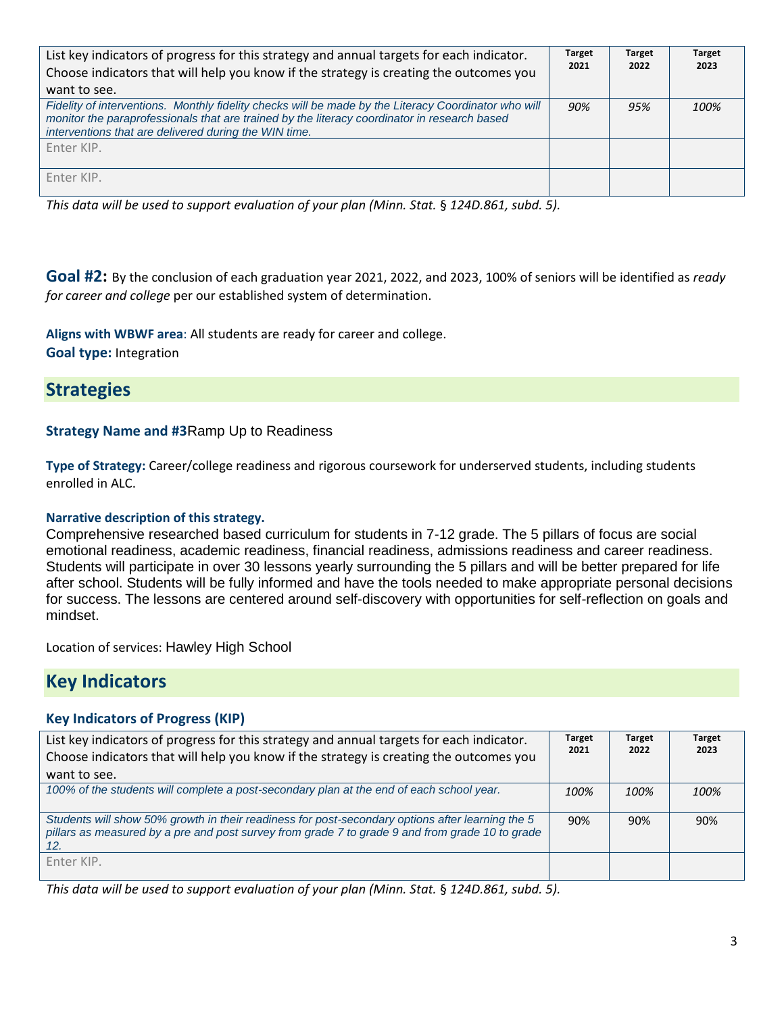| List key indicators of progress for this strategy and annual targets for each indicator.<br>Choose indicators that will help you know if the strategy is creating the outcomes you<br>want to see.                                                            | <b>Target</b><br>2021 | <b>Target</b><br>2022 | <b>Target</b><br>2023 |
|---------------------------------------------------------------------------------------------------------------------------------------------------------------------------------------------------------------------------------------------------------------|-----------------------|-----------------------|-----------------------|
| Fidelity of interventions. Monthly fidelity checks will be made by the Literacy Coordinator who will<br>monitor the paraprofessionals that are trained by the literacy coordinator in research based<br>interventions that are delivered during the WIN time. | 90%                   | 95%                   | 100%                  |
| Enter KIP.                                                                                                                                                                                                                                                    |                       |                       |                       |
| Enter KIP.                                                                                                                                                                                                                                                    |                       |                       |                       |

*This data will be used to support evaluation of your plan (Minn. Stat.* § *124D.861, subd. 5).*

**Goal #2:** By the conclusion of each graduation year 2021, 2022, and 2023, 100% of seniors will be identified as *ready for career and college* per our established system of determination.

**Aligns with WBWF area**: All students are ready for career and college. **Goal type:** Integration

## **Strategies**

#### **Strategy Name and #3**Ramp Up to Readiness

**Type of Strategy:** Career/college readiness and rigorous coursework for underserved students, including students enrolled in ALC.

#### **Narrative description of this strategy.**

Comprehensive researched based curriculum for students in 7-12 grade. The 5 pillars of focus are social emotional readiness, academic readiness, financial readiness, admissions readiness and career readiness. Students will participate in over 30 lessons yearly surrounding the 5 pillars and will be better prepared for life after school. Students will be fully informed and have the tools needed to make appropriate personal decisions for success. The lessons are centered around self-discovery with opportunities for self-reflection on goals and mindset.

Location of services: Hawley High School

## **Key Indicators**

#### **Key Indicators of Progress (KIP)**

| List key indicators of progress for this strategy and annual targets for each indicator.<br>Choose indicators that will help you know if the strategy is creating the outcomes you                         | <b>Target</b><br>2021 | <b>Target</b><br>2022 | <b>Target</b><br>2023 |
|------------------------------------------------------------------------------------------------------------------------------------------------------------------------------------------------------------|-----------------------|-----------------------|-----------------------|
| want to see.                                                                                                                                                                                               |                       |                       |                       |
| 100% of the students will complete a post-secondary plan at the end of each school year.                                                                                                                   | 100%                  | 100%                  | 100%                  |
| Students will show 50% growth in their readiness for post-secondary options after learning the 5<br>pillars as measured by a pre and post survey from grade 7 to grade 9 and from grade 10 to grade<br>12. | 90%                   | 90%                   | 90%                   |
| Enter KIP.                                                                                                                                                                                                 |                       |                       |                       |

*This data will be used to support evaluation of your plan (Minn. Stat.* § *124D.861, subd. 5).*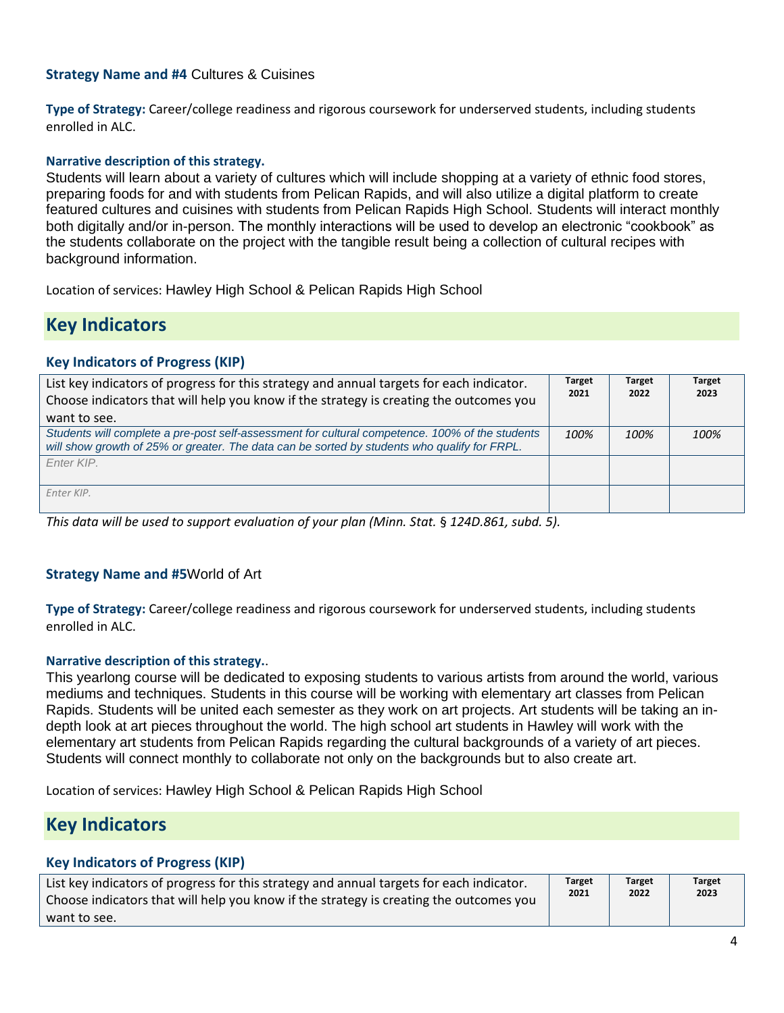#### **Strategy Name and #4** Cultures & Cuisines

**Type of Strategy:** Career/college readiness and rigorous coursework for underserved students, including students enrolled in ALC.

#### **Narrative description of this strategy.**

Students will learn about a variety of cultures which will include shopping at a variety of ethnic food stores, preparing foods for and with students from Pelican Rapids, and will also utilize a digital platform to create featured cultures and cuisines with students from Pelican Rapids High School. Students will interact monthly both digitally and/or in-person. The monthly interactions will be used to develop an electronic "cookbook" as the students collaborate on the project with the tangible result being a collection of cultural recipes with background information.

Location of services: Hawley High School & Pelican Rapids High School

## **Key Indicators**

#### **Key Indicators of Progress (KIP)**

| List key indicators of progress for this strategy and annual targets for each indicator.<br>Choose indicators that will help you know if the strategy is creating the outcomes you              | <b>Target</b><br>2021 | <b>Target</b><br>2022 | <b>Target</b><br>2023 |
|-------------------------------------------------------------------------------------------------------------------------------------------------------------------------------------------------|-----------------------|-----------------------|-----------------------|
| want to see.                                                                                                                                                                                    |                       |                       |                       |
| Students will complete a pre-post self-assessment for cultural competence. 100% of the students<br>will show growth of 25% or greater. The data can be sorted by students who qualify for FRPL. | 100%                  | 100%                  | 100%                  |
| Fnter KIP.                                                                                                                                                                                      |                       |                       |                       |
| Enter KIP.                                                                                                                                                                                      |                       |                       |                       |

*This data will be used to support evaluation of your plan (Minn. Stat.* § *124D.861, subd. 5).*

#### **Strategy Name and #5**World of Art

**Type of Strategy:** Career/college readiness and rigorous coursework for underserved students, including students enrolled in ALC.

#### **Narrative description of this strategy.**.

This yearlong course will be dedicated to exposing students to various artists from around the world, various mediums and techniques. Students in this course will be working with elementary art classes from Pelican Rapids. Students will be united each semester as they work on art projects. Art students will be taking an indepth look at art pieces throughout the world. The high school art students in Hawley will work with the elementary art students from Pelican Rapids regarding the cultural backgrounds of a variety of art pieces. Students will connect monthly to collaborate not only on the backgrounds but to also create art.

Location of services: Hawley High School & Pelican Rapids High School

## **Key Indicators**

#### **Key Indicators of Progress (KIP)**

| List key indicators of progress for this strategy and annual targets for each indicator. | <b>Target</b> | Target | <b>Target</b> |
|------------------------------------------------------------------------------------------|---------------|--------|---------------|
| Choose indicators that will help you know if the strategy is creating the outcomes you   | 2021          | 2022   | 2023          |
| want to see.                                                                             |               |        |               |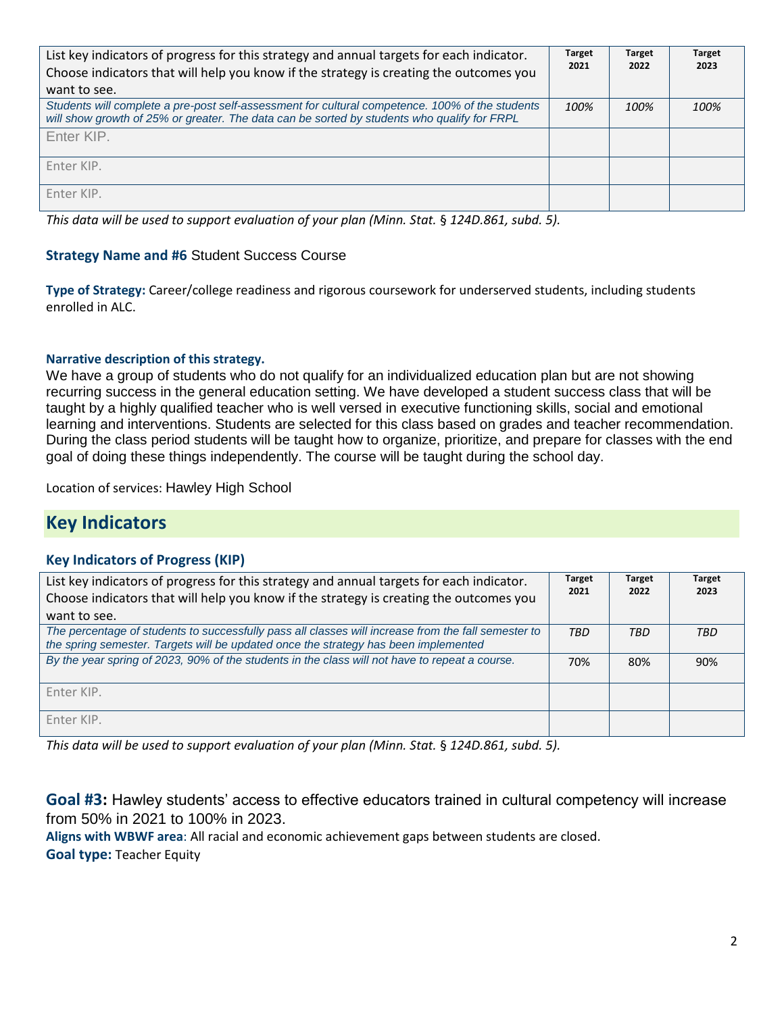| List key indicators of progress for this strategy and annual targets for each indicator.<br>Choose indicators that will help you know if the strategy is creating the outcomes you<br>want to see. | <b>Target</b><br>2021 | <b>Target</b><br>2022 | <b>Target</b><br>2023 |
|----------------------------------------------------------------------------------------------------------------------------------------------------------------------------------------------------|-----------------------|-----------------------|-----------------------|
| Students will complete a pre-post self-assessment for cultural competence. 100% of the students<br>will show growth of 25% or greater. The data can be sorted by students who qualify for FRPL     | 100%                  | 100%                  | 100%                  |
| Enter KIP.                                                                                                                                                                                         |                       |                       |                       |
| Enter KIP.                                                                                                                                                                                         |                       |                       |                       |
| Enter KIP.                                                                                                                                                                                         |                       |                       |                       |

*This data will be used to support evaluation of your plan (Minn. Stat.* § *124D.861, subd. 5).*

#### **Strategy Name and #6** Student Success Course

**Type of Strategy:** Career/college readiness and rigorous coursework for underserved students, including students enrolled in ALC.

#### **Narrative description of this strategy.**

We have a group of students who do not qualify for an individualized education plan but are not showing recurring success in the general education setting. We have developed a student success class that will be taught by a highly qualified teacher who is well versed in executive functioning skills, social and emotional learning and interventions. Students are selected for this class based on grades and teacher recommendation. During the class period students will be taught how to organize, prioritize, and prepare for classes with the end goal of doing these things independently. The course will be taught during the school day.

Location of services: Hawley High School

## **Key Indicators**

#### **Key Indicators of Progress (KIP)**

| List key indicators of progress for this strategy and annual targets for each indicator.<br>Choose indicators that will help you know if the strategy is creating the outcomes you<br>want to see. | <b>Target</b><br>2021 | <b>Target</b><br>2022 | <b>Target</b><br>2023 |
|----------------------------------------------------------------------------------------------------------------------------------------------------------------------------------------------------|-----------------------|-----------------------|-----------------------|
| The percentage of students to successfully pass all classes will increase from the fall semester to<br>the spring semester. Targets will be updated once the strategy has been implemented         | <b>TBD</b>            | TBD                   | TBD                   |
| By the year spring of 2023, 90% of the students in the class will not have to repeat a course.                                                                                                     | 70%                   | 80%                   | 90%                   |
| Enter KIP.                                                                                                                                                                                         |                       |                       |                       |
| Enter KIP.                                                                                                                                                                                         |                       |                       |                       |

*This data will be used to support evaluation of your plan (Minn. Stat.* § *124D.861, subd. 5).*

**Goal #3:** Hawley students' access to effective educators trained in cultural competency will increase from 50% in 2021 to 100% in 2023.

**Aligns with WBWF area**: All racial and economic achievement gaps between students are closed.

**Goal type:** Teacher Equity